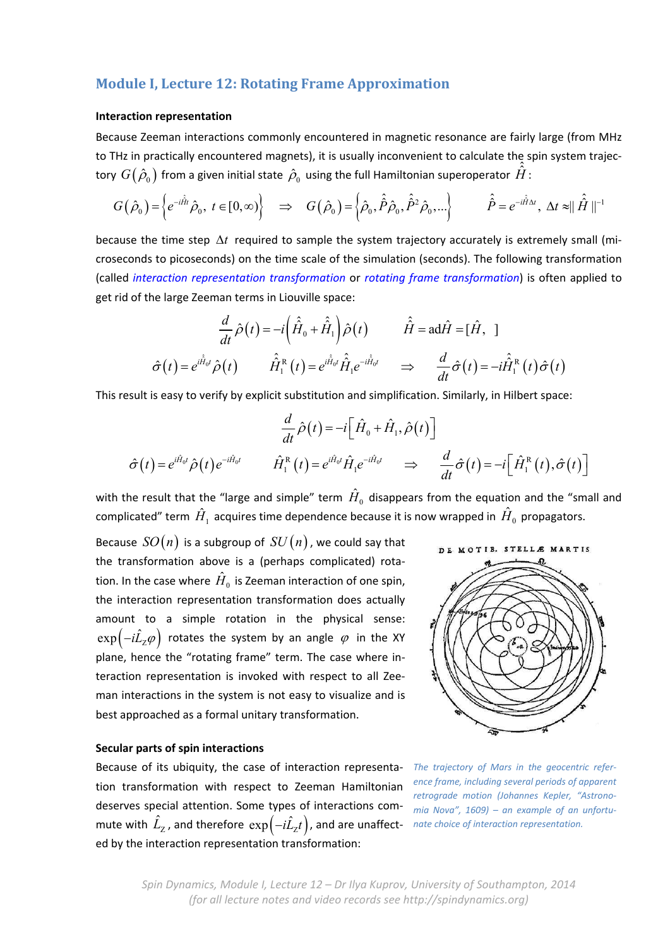# **Module I, Lecture 12: Rotating Frame Approximation**

### **Interaction representation**

Because Zeeman interactions commonly encountered in magnetic resonance are fairly large (from MHz to THz in practically encountered magnets), it is usually inconvenient to calculate the spin system trajectory  $G(\hat{\rho}_0)$  from a given initial state  $\hat{\rho}_0$  using the full Hamiltonian superoperator  $\hat{\hat{H}}$  :

$$
G(\hat{\rho}_0) = \left\{ e^{-i\hat{H}t} \hat{\rho}_0, t \in [0, \infty) \right\} \Rightarrow G(\hat{\rho}_0) = \left\{ \hat{\rho}_0, \hat{\hat{P}} \hat{\rho}_0, \hat{\hat{P}}^2 \hat{\rho}_0, \ldots \right\} \qquad \hat{\hat{P}} = e^{-i\hat{H}\Delta t}, \Delta t \approx ||\hat{\hat{H}}||^{-1}
$$

because the time step  $\Delta t$  required to sample the system trajectory accurately is extremely small (microseconds to picoseconds) on the time scale of the simulation (seconds). The following transformation (called *interaction representation transformation* or *rotating frame transformation*) is often applied to get rid of the large Zeeman terms in Liouville space:

$$
\frac{d}{dt}\hat{\rho}(t) = -i\left(\hat{\hat{H}}_0 + \hat{\hat{H}}_1\right)\hat{\rho}(t) \qquad \hat{\hat{H}} = \text{ad}\hat{H} = [\hat{H}, 1]
$$

$$
\hat{\sigma}(t) = e^{i\hat{\hat{H}}_0 t}\hat{\rho}(t) \qquad \hat{\hat{H}}_1^{\text{R}}(t) = e^{i\hat{\hat{H}}_0 t}\hat{\hat{H}}_1 e^{-i\hat{\hat{H}}_0 t} \qquad \Rightarrow \qquad \frac{d}{dt}\hat{\sigma}(t) = -i\hat{\hat{H}}_1^{\text{R}}(t)\hat{\sigma}(t)
$$

This result is easy to verify by explicit substitution and simplification. Similarly, in Hilbert space:

$$
\frac{d}{dt}\hat{\rho}(t) = -i\Big[\hat{H}_0 + \hat{H}_1, \hat{\rho}(t)\Big]
$$

$$
\hat{\sigma}(t) = e^{i\hat{H}_0 t} \hat{\rho}(t) e^{-i\hat{H}_0 t} \qquad \hat{H}_1^{\text{R}}(t) = e^{i\hat{H}_0 t} \hat{H}_1 e^{-i\hat{H}_0 t} \qquad \Rightarrow \qquad \frac{d}{dt}\hat{\sigma}(t) = -i\Big[\hat{H}_1^{\text{R}}(t), \hat{\sigma}(t)\Big]
$$

with the result that the "large and simple" term  $\hat{H}_0$  disappears from the equation and the "small and complicated" term  $\hat{H}_1$  acquires time dependence because it is now wrapped in  $\hat{H}_0$  propagators.

Because  $SO(n)$  is a subgroup of  $SU(n)$ , we could say that the transformation above is a (perhaps complicated) rota‐ tion. In the case where  $\hat{H}_0$  is Zeeman interaction of one spin, the interaction representation transformation does actually amount to a simple rotation in the physical sense:  $\exp\bigl(-i\hat{L}_{\text{\tiny Z}}\varphi\bigr)$  rotates the system by an angle  $\,\varphi\,$  in the XY plane, hence the "rotating frame" term. The case where in‐ teraction representation is invoked with respect to all Zee‐ man interactions in the system is not easy to visualize and is best approached as a formal unitary transformation.

#### **Secular parts of spin interactions**

Because of its ubiquity, the case of interaction representa‐ *The trajectory of Mars in the geocentric refer‐* tion transformation with respect to Zeeman Hamiltonian deserves special attention. Some types of interactions com‐  $m$ ute with  $\hat{L}_z$ , and therefore  $\exp(-i\hat{L}_zt)$ , and are unaffect- nate choice of interaction representation. ed by the interaction representation transformation:



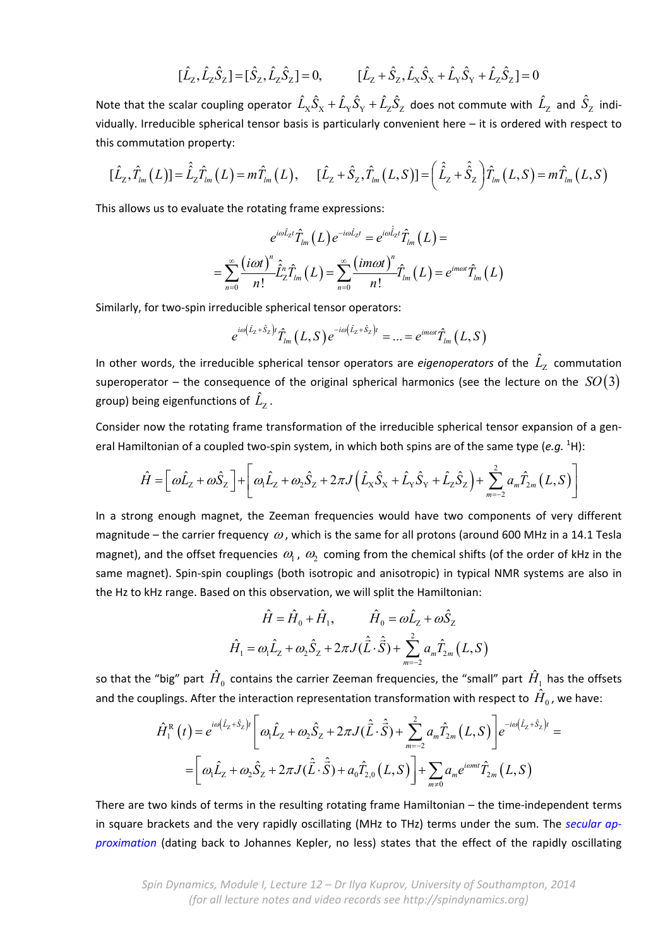$$
[\hat{L}_z, \hat{L}_z \hat{S}_z] = [\hat{S}_z, \hat{L}_z \hat{S}_z] = 0, \qquad [\hat{L}_z + \hat{S}_z, \hat{L}_x \hat{S}_x + \hat{L}_y \hat{S}_y + \hat{L}_z \hat{S}_z] = 0
$$

Note that the scalar coupling operator  $\hat L_\chi \hat S_\chi+\hat L_\chi \hat S_\chi+\hat L_z \hat S_Z$  does not commute with  $\hat L_z$  and  $\hat S_\chi$  individually. Irreducible spherical tensor basis is particularly convenient here – it is ordered with respect to this commutation property:

$$
[\hat{L}_z, \hat{T}_{lm}(L)] = \hat{\hat{L}}_z \hat{T}_{lm}(L) = m \hat{T}_{lm}(L), \quad [\hat{L}_z + \hat{S}_z, \hat{T}_{lm}(L, S)] = (\hat{\hat{L}}_z + \hat{\hat{S}}_z) \hat{T}_{lm}(L, S) = m \hat{T}_{lm}(L, S)
$$

This allows us to evaluate the rotating frame expressions:

$$
e^{i\omega \hat{L}_{\text{Z}}t} \hat{T}_{lm}(L) e^{-i\omega \hat{L}_{\text{Z}}t} = e^{i\omega \hat{\hat{L}}_{\text{Z}}t} \hat{T}_{lm}(L) = \\ = \sum_{n=0}^{\infty} \frac{(i\omega t)^n}{n!} \hat{\hat{L}}_2^n \hat{T}_{lm}(L) = \sum_{n=0}^{\infty} \frac{(im\omega t)^n}{n!} \hat{T}_{lm}(L) = e^{im\omega t} \hat{T}_{lm}(L)
$$

Similarly, for two‐spin irreducible spherical tensor operators:

$$
e^{i\omega(\hat{L}_z+\hat{S}_z)t}\hat{T}_{lm}(L,S)e^{-i\omega(\hat{L}_z+\hat{S}_z)t} = ... = e^{im\omega t}\hat{T}_{lm}(L,S)
$$

In other words, the irreducible spherical tensor operators are *eigenoperators* of the  $\hat{L}_z$  commutation superoperator – the consequence of the original spherical harmonics (see the lecture on the  $SO(3)$ group) being eigenfunctions of  $\hat{L}_z$ .

Consider now the rotating frame transformation of the irreducible spherical tensor expansion of a gen‐ eral Hamiltonian of a coupled two-spin system, in which both spins are of the same type (e.g. <sup>1</sup>H):

$$
\hat{H} = \left[\omega \hat{L}_z + \omega \hat{S}_z\right] + \left[\omega_1 \hat{L}_z + \omega_2 \hat{S}_z + 2\pi J \left(\hat{L}_x \hat{S}_x + \hat{L}_y \hat{S}_y + \hat{L}_z \hat{S}_z\right) + \sum_{m=-2}^{2} a_m \hat{T}_{2m} (L, S)\right]
$$

In a strong enough magnet, the Zeeman frequencies would have two components of very different magnitude – the carrier frequency  $\omega$ , which is the same for all protons (around 600 MHz in a 14.1 Tesla magnet), and the offset frequencies  $\omega_1$ ,  $\omega_2$  coming from the chemical shifts (of the order of kHz in the same magnet). Spin-spin couplings (both isotropic and anisotropic) in typical NMR systems are also in the Hz to kHz range. Based on this observation, we will split the Hamiltonian:

$$
\hat{H} = \hat{H}_0 + \hat{H}_1, \qquad \hat{H}_0 = \omega \hat{L}_z + \omega \hat{S}_z
$$

$$
\hat{H}_1 = \omega_1 \hat{L}_z + \omega_2 \hat{S}_z + 2\pi J(\hat{L} \cdot \hat{S}) + \sum_{m=-2}^{2} a_m \hat{T}_{2m} (L, S)
$$

so that the "big" part  $\hat{H}^{\,}_{0}$  contains the carrier Zeeman frequencies, the "small" part  $\hat{H}^{\,}_{1}$  has the offsets and the couplings. After the interaction representation transformation with respect to  $H_0$ , we have:

$$
\hat{H}_{1}^{R}(t) = e^{i\omega(\hat{L}_{z} + \hat{S}_{z})t} \left[ \omega_{1}\hat{L}_{z} + \omega_{2}\hat{S}_{z} + 2\pi J(\hat{\vec{L}} \cdot \hat{\vec{S}}) + \sum_{m=-2}^{2} a_{m}\hat{T}_{2m}(L, S) \right] e^{-i\omega(\hat{L}_{z} + \hat{S}_{z})t} =
$$
\n
$$
= \left[ \omega_{1}\hat{L}_{z} + \omega_{2}\hat{S}_{z} + 2\pi J(\hat{\vec{L}} \cdot \hat{\vec{S}}) + a_{0}\hat{T}_{2,0}(L, S) \right] + \sum_{m \neq 0} a_{m} e^{i\omega m t} \hat{T}_{2m}(L, S)
$$

There are two kinds of terms in the resulting rotating frame Hamiltonian – the time-independent terms in square brackets and the very rapidly oscillating (MHz to THz) terms under the sum. The *secular ap‐ proximation* (dating back to Johannes Kepler, no less) states that the effect of the rapidly oscillating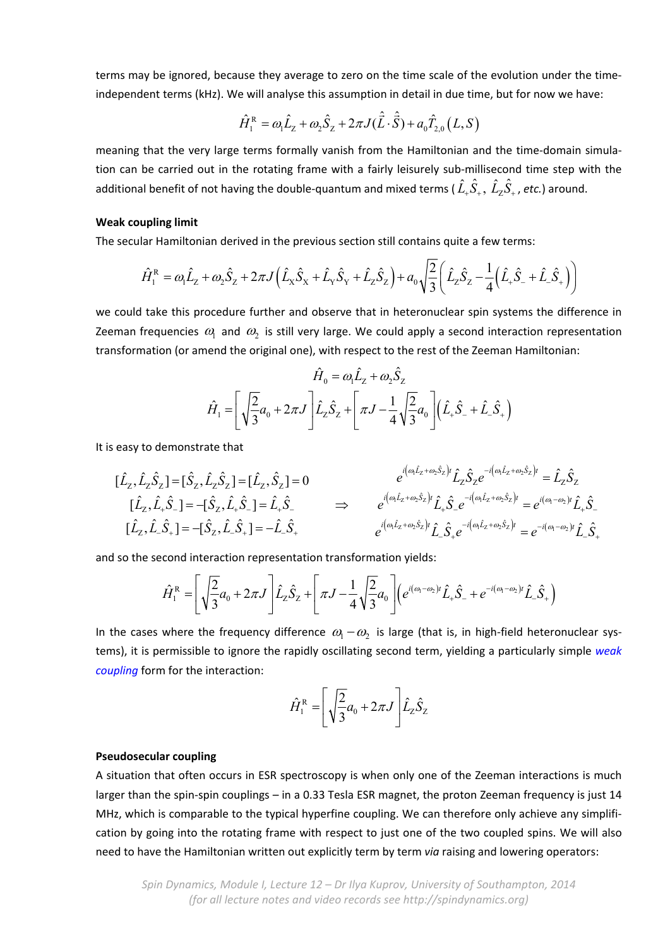terms may be ignored, because they average to zero on the time scale of the evolution under the time‐ independent terms (kHz). We will analyse this assumption in detail in due time, but for now we have:

$$
\hat{H}_{1}^{R} = \omega_{1}\hat{L}_{z} + \omega_{2}\hat{S}_{z} + 2\pi J(\hat{\vec{L}}\cdot\hat{\vec{S}}) + a_{0}\hat{T}_{2,0}(L, S)
$$

meaning that the very large terms formally vanish from the Hamiltonian and the time-domain simulation can be carried out in the rotating frame with a fairly leisurely sub-millisecond time step with the additional benefit of not having the double-quantum and mixed terms ( $\hat{L}_r \hat{S}_+$ ,  $\hat{L}_z \hat{S}_+$ , etc.) around.

### **Weak coupling limit**

The secular Hamiltonian derived in the previous section still contains quite a few terms:

$$
\hat{H}_1^{\rm R} = \omega_1 \hat{L}_2 + \omega_2 \hat{S}_2 + 2\pi J \left( \hat{L}_X \hat{S}_X + \hat{L}_Y \hat{S}_Y + \hat{L}_Z \hat{S}_Z \right) + \omega_0 \sqrt{\frac{2}{3} \left( \hat{L}_Z \hat{S}_Z - \frac{1}{4} \left( \hat{L}_+ \hat{S}_- + \hat{L}_- \hat{S}_+ \right) \right)}
$$

we could take this procedure further and observe that in heteronuclear spin systems the difference in Zeeman frequencies  $\omega_1$  and  $\omega_2$  is still very large. We could apply a second interaction representation transformation (or amend the original one), with respect to the rest of the Zeeman Hamiltonian:

$$
\hat{H}_0 = \omega_1 \hat{L}_z + \omega_2 \hat{S}_z
$$
\n
$$
\hat{H}_1 = \left[ \sqrt{\frac{2}{3}} a_0 + 2\pi J \right] \hat{L}_z \hat{S}_z + \left[ \pi J - \frac{1}{4} \sqrt{\frac{2}{3}} a_0 \right] \left( \hat{L}_+ \hat{S}_- + \hat{L}_- \hat{S}_+ \right)
$$

It is easy to demonstrate that

$$
\begin{aligned}\n[\hat{L}_z, \hat{L}_z \hat{S}_z] &= [\hat{S}_z, \hat{L}_z \hat{S}_z] = [\hat{L}_z, \hat{S}_z] = 0 \\
[\hat{L}_z, \hat{L}_z \hat{S}_z] &= -[\hat{S}_z, \hat{L}_z \hat{S}_z] = \hat{L}_z \hat{S}_z \\
[\hat{L}_z, \hat{L}_z \hat{S}_z] &= -[\hat{S}_z, \hat{L}_z \hat{S}_z] = -\hat{L}_z \hat{S}_z \\
[\hat{L}_z, \hat{L}_z \hat{S}_z] &= -\hat{L}_z \hat{S}_z\n\end{aligned}\n\Rightarrow\n\begin{aligned}\ne^{i\left(\omega_1 \hat{L}_z + \omega_2 \hat{S}_z\right)t} \hat{L}_z \hat{S}_z e^{-i\left(\omega_1 \hat{L}_z + \omega_2 \hat{S}_z\right)t} = \hat{L}_z \hat{S}_z \\
e^{i\left(\omega_1 \hat{L}_z + \omega_2 \hat{S}_z\right)t} \hat{L}_z \hat{S}_z e^{-i\left(\omega_1 \hat{L}_z + \omega_2 \hat{S}_z\right)t} = e^{i\left(\omega_1 - \omega_2\right)t} \hat{L}_z \hat{S}_z\n\end{aligned}
$$

and so the second interaction representation transformation yields:

$$
\hat{H}_{1}^{\text{R}} = \left[ \sqrt{\frac{2}{3}} a_{0} + 2 \pi J \right] \hat{L}_{2} \hat{S}_{2} + \left[ \pi J - \frac{1}{4} \sqrt{\frac{2}{3}} a_{0} \right] \left( e^{i(\omega_{1} - \omega_{2})t} \hat{L}_{+} \hat{S}_{-} + e^{-i(\omega_{1} - \omega_{2})t} \hat{L}_{-} \hat{S}_{+} \right)
$$

In the cases where the frequency difference  $\omega_1 - \omega_2$  is large (that is, in high-field heteronuclear systems), it is permissible to ignore the rapidly oscillating second term, yielding a particularly simple *weak coupling* form for the interaction:

$$
\hat{H}_1^{\rm R} = \left[ \sqrt{\frac{2}{3}} a_0 + 2\pi J \right] \hat{L}_2 \hat{S}_2
$$

## **Pseudosecular coupling**

A situation that often occurs in ESR spectroscopy is when only one of the Zeeman interactions is much larger than the spin‐spin couplings – in a 0.33 Tesla ESR magnet, the proton Zeeman frequency is just 14 MHz, which is comparable to the typical hyperfine coupling. We can therefore only achieve any simplification by going into the rotating frame with respect to just one of the two coupled spins. We will also need to have the Hamiltonian written out explicitly term by term *via* raising and lowering operators: